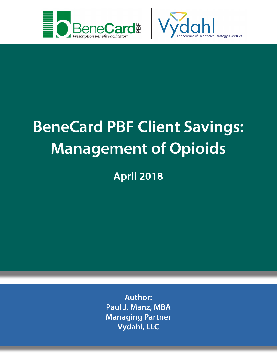



**April 2018**

**Author: Paul J. Manz, MBA Managing Partner Vydahl, LLC**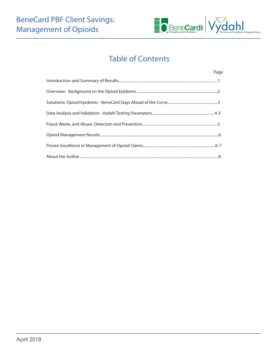

# Table of Contents

| Page |
|------|
|      |
|      |
|      |
|      |
|      |
|      |
|      |
|      |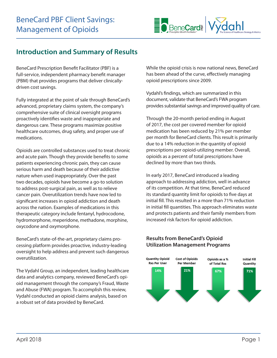

## **Introduction and Summary of Results**

BeneCard Prescription Benefit Facilitator (PBF) is a full-service, independent pharmacy benefit manager (PBM) that provides programs that deliver clinicallydriven cost savings.

Fully integrated at the point of sale through BeneCard's advanced, proprietary claims system, the company's comprehensive suite of clinical oversight programs proactively identifies waste and inappropriate and dangerous care. These programs maximize positive healthcare outcomes, drug safety, and proper use of medications.

Opioids are controlled substances used to treat chronic and acute pain. Though they provide benefits to some patients experiencing chronic pain, they can cause serious harm and death because of their addictive nature when used inappropriately. Over the past two decades, opioids have become a go-to solution to address post-surgical pain, as well as to relieve cancer pain. Overutilization trends have now led to significant increases in opioid addiction and death across the nation. Examples of medications in this therapeutic category include fentanyl, hydrocodone, hydromorphone, meperidone, methadone, morphine, oxycodone and oxymorphone.

BeneCard's state-of-the-art, proprietary claims processing platform provides proactive, industry-leading oversight to help address and prevent such dangerous overutilization.

The Vydahl Group, an independent, leading healthcare data and analytics company, reviewed BeneCard's opioid management through the company's Fraud, Waste and Abuse (FWA) program. To accomplish this review, Vydahl conducted an opioid claims analysis, based on a robust set of data provided by BeneCard.

While the opioid crisis is now national news, BeneCard has been ahead of the curve, effectively managing opioid prescriptions since 2009.

Vydahl's findings, which are summarized in this document, validate that BeneCard's FWA program provides substantial savings and improved quality of care.

Through the 20-month period ending in August of 2017, the cost per covered member for opioid medication has been reduced by 21% per member per month for BeneCard clients. This result is primarily due to a 14% reduction in the quantity of opioid prescriptions per opioid-utilizing member. Overall, opioids as a percent of total prescriptions have declined by more than two thirds.

In early 2017, BeneCard introduced a leading approach to addressing addiction, well in advance of its competition. At that time, BeneCard reduced its standard quantity limit for opioids to five days at initial fill. This resulted in a more than 71% reduction in initial fill quantities. This approach eliminates waste and protects patients and their family members from increased risk factors for opioid addiction.



#### **Results from BeneCard's Opioid Utilization Management Programs**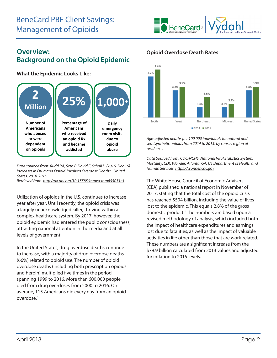

## **Overview: Background on the Opioid Epidemic**

**What the Epidemic Looks Like:**



*Data sourced from: Rudd RA, Seth P, David F, Scholl L. (2016, Dec 16) Increases in Drug and Opioid-Involved Overdose Deaths - United States, 2010-2015.* 

*Retrieved from: http://dx.doi.org/10.15585/mmwr.mm655051e1*

Utilization of opioids in the U.S. continues to increase year after year. Until recently, the opioid crisis was a largely unacknowledged killer, thriving within a complex healthcare system. By 2017, however, the opioid epidemic had entered the public consciousness, attracting national attention in the media and at all levels of government.

In the United States, drug overdose deaths continue to increase, with a majority of drug overdose deaths (66%) related to opioid use. The number of opioid overdose deaths (including both prescription opioids and heroin) multiplied five times in the period spanning 1999 to 2016. More than 600,000 people died from drug overdoses from 2000 to 2016. On average, 115 Americans die every day from an opioid overdose.3

#### **Opioid Overdose Death Rates**



*Age-adjusted deaths per 100,000 individuals for natural and semisynthetic opioids from 2014 to 2015, by census region of residence.*

*Data Sourced from: CDC/NCHS, National Vital Statistics System, Mortality. CDC Wonder, Atlanta, GA: US Department of Health and Human Services. https://wonder.cdc.gov*

The White House Council of Economic Advisers (CEA) published a national report in November of 2017, stating that the total cost of the opioid crisis has reached \$504 billion, including the value of lives lost to the epidemic. This equals 2.8% of the gross domestic product.<sup>1</sup> The numbers are based upon a revised methodology of analysis, which included both the impact of healthcare expenditures and earnings lost due to fatalities, as well as the impact of valuable activities in life other than those that are work-related. These numbers are a significant increase from the \$79.9 billion calculated from 2013 values and adjusted for inflation to 2015 levels.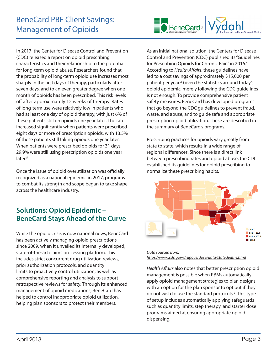

In 2017, the Center for Disease Control and Prevention (CDC) released a report on opioid prescribing characteristics and their relationship to the potential for long-term opioid abuse. Researchers found that the probability of long-term opioid use increases most sharply in the first days of therapy, particularly after seven days, and to an even greater degree when one month of opioids has been prescribed. This risk levels off after approximately 12 weeks of therapy. Rates of long-term use were relatively low in patients who had at least one day of opioid therapy, with just 6% of these patients still on opioids one year later. The rate increased significantly when patients were prescribed eight days or more of prescription opioids, with 13.5% of these patients still taking opioids one year later. When patients were prescribed opioids for 31 days, 29.9% were still using prescription opioids one year later.<sup>5</sup>

Once the issue of opioid overutilization was officially recognized as a national epidemic in 2017, programs to combat its strength and scope began to take shape across the healthcare industry.

# **Solutions: Opioid Epidemic – BeneCard Stays Ahead of the Curve**

While the opioid crisis is now national news, BeneCard has been actively managing opioid prescriptions since 2009, when it unveiled its internally developed, state-of-the-art claims processing platform. This includes strict concurrent drug utilization reviews, prior authorization protocols, and quantity limits to proactively control utilization, as well as comprehensive reporting and analysis to support retrospective reviews for safety. Through its enhanced management of opioid medications, BeneCard has helped to control inappropriate opioid utilization, helping plan sponsors to protect their members.

As an initial national solution, the Centers for Disease Control and Prevention (CDC) published its "Guidelines for Prescribing Opioids for Chronic Pain" in 2016.<sup>4</sup> According to *Health Affairs*, these guidelines have led to a cost savings of approximately \$15,000 per patient per year.2 Given the statistics around today's opioid epidemic, merely following the CDC guidelines is not enough. To provide comprehensive patient safety measures, BeneCard has developed programs that go beyond the CDC guidelines to prevent fraud, waste, and abuse, and to guide safe and appropriate prescription opioid utilization. These are described in the summary of BeneCard's programs.

Prescribing practices for opioids vary greatly from state to state, which results in a wide range of regional differences. Since there is a direct link between prescribing rates and opioid abuse, the CDC established its guidelines for opioid prescribing to normalize these prescribing habits.



*Data sourced from: https://www.cdc.gov/drugoverdose/data/statedeaths.html*

*Health Affairs* also notes that better prescription opioid management is possible when PBMs automatically apply opioid management strategies to plan designs, with an option for the plan sponsor to opt out if they do not wish to use the standard protocols.2 This type of setup includes automatically applying safeguards such as quantity limits, step therapy, and starter dose programs aimed at ensuring appropriate opioid dispensing.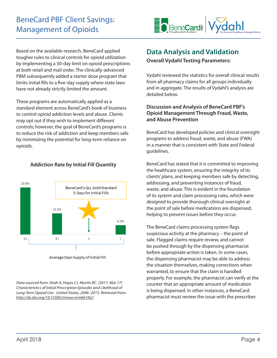

Based on the available research, BeneCard applied tougher rules to clinical controls for opioid utilization by implementing a 30-day limit on opioid prescriptions at both retail and mail order. The clinically-advanced PBM subsequently added a starter dose program that limits initial fills to a five-day supply where state laws have not already strictly limited the amount.

These programs are automatically applied as a standard element across BeneCard's book of business to control opioid addiction levels and abuse. Clients may opt out if they wish to implement different controls; however, the goal of BeneCard's programs is to reduce the risk of addiction and keep members safe by minimizing the potential for long-term reliance on opioids.

#### **Addiction Rate by Initial Fill Quantity**



Average Days Supply of Initial Fill

*Data sourced from: Shah A, Hayes CJ, Martin BC. (2017, Mar 17) Characteristics of Initial Prescription Episodes and Likelihood of Long-Term Opioid Use - United States, 2006–2015. Retrieved from: http://dx.doi.org/10.15585/mmwr.mm6610a1*

## **Data Analysis and Validation**

**Overall Vydahl Testing Parameters:**

Vydahl reviewed the statistics for overall clinical results from all pharmacy claims for all groups individually and in aggregate. The results of Vydahl's analysis are detailed below.

#### **Discussion and Analysis of BeneCard PBF's Opioid Management Through Fraud, Waste, and Abuse Prevention**

BeneCard has developed policies and clinical oversight programs to address fraud, waste, and abuse (FWA) in a manner that is consistent with State and Federal guidelines.

BeneCard has stated that it is committed to improving the healthcare system, ensuring the integrity of its clients' plans, and keeping members safe by detecting, addressing, and preventing instances of fraud, waste, and abuse. This is evident in the foundation of its system and claim processing rules, which were designed to provide thorough clinical oversight at the point of sale before medications are dispensed, helping to prevent issues before they occur.

The BeneCard claims processing system flags suspicious activity at the pharmacy – the point of sale. Flagged claims require review, and cannot be pushed through by the dispensing pharmacist before appropriate action is taken. In some cases, the dispensing pharmacist may be able to address the situation themselves, making corrections when warranted, to ensure that the claim is handled properly. For example, the pharmacist can verify at the counter that an appropriate amount of medication is being dispensed. In other instances, a BeneCard pharmacist must review the issue with the prescriber.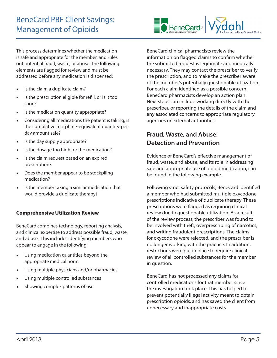This process determines whether the medication is safe and appropriate for the member, and rules out potential fraud, waste, or abuse. The following elements are flagged for review and must be addressed before any medication is dispensed:

- Is the claim a duplicate claim?
- • Is the prescription eligible for refill, or is it too soon?
- Is the medication quantity appropriate?
- Considering all medications the patient is taking, is the cumulative morphine-equivalent quantity-perday amount safe?
- Is the day supply appropriate?
- Is the dosage too high for the medication?
- Is the claim request based on an expired prescription?
- Does the member appear to be stockpiling medication?
- Is the member taking a similar medication that would provide a duplicate therapy?

#### **Comprehensive Utilization Review**

BeneCard combines technology, reporting analysis, and clinical expertise to address possible fraud, waste, and abuse. This includes identifying members who appear to engage in the following:

- • Using medication quantities beyond the appropriate medical norm
- Using multiple physicians and/or pharmacies
- Using multiple controlled substances
- Showing complex patterns of use



## **Fraud, Waste, and Abuse: Detection and Prevention**

Evidence of BeneCard's effective management of fraud, waste, and abuse, and its role in addressing safe and appropriate use of opioid medication, can be found in the following example.

Following strict safety protocols, BeneCard identified a member who had submitted multiple oxycodone prescriptions indicative of duplicate therapy. These prescriptions were flagged as requiring clinical review due to questionable utilization. As a result of the review process, the prescriber was found to be involved with theft, overprescribing of narcotics, and writing fraudulent prescriptions. The claims for oxycodone were rejected, and the prescriber is no longer working with the practice. In addition, restrictions were put in place to require clinical review of all controlled substances for the member in question.

BeneCard has not processed any claims for controlled medications for that member since the investigation took place. This has helped to prevent potentially illegal activity meant to obtain prescription opioids, and has saved the client from unnecessary and inappropriate costs.

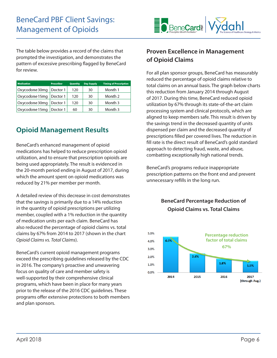

The table below provides a record of the claims that prompted the investigation, and demonstrates the pattern of excessive prescribing flagged by BeneCard for review.

| <b>Medication</b> | <b>Prescriber</b> | <b>Quantity</b> | <b>Day Supply</b> | <b>Timing of Prescription</b> |
|-------------------|-------------------|-----------------|-------------------|-------------------------------|
| Oxycodone 30mg    | Doctor 1          | 120             | 30                | Month 1                       |
| Oxycodone 15mg    | Doctor 1          | 120             | 30                | Month 2                       |
| Oxycodone 30mg    | Doctor 1          | 120             | 30                | Month 3                       |
| Oxycodone 15mg    | Doctor 1          | 60              | 30                | Month 3                       |

# **Opioid Management Results**

BeneCard's enhanced management of opioid medications has helped to reduce prescription opioid utilization, and to ensure that prescription opioids are being used appropriately. The result is evidenced in the 20-month period ending in August of 2017, during which the amount spent on opioid medications was reduced by 21% per member per month.

A detailed review of this decrease in cost demonstrates that the savings is primarily due to a 14% reduction in the quantity of opioid prescriptions per utilizing member, coupled with a 1% reduction in the quantity of medication units per each claim. BeneCard has also reduced the percentage of opioid claims vs. total claims by 67% from 2014 to 2017 (shown in the chart *Opioid Claims vs. Total Claims*).

BeneCard's current opioid management programs exceed the prescribing guidelines released by the CDC in 2016. The company's proactive and unwavering focus on quality of care and member safety is well-supported by their comprehensive clinical programs, which have been in place for many years prior to the release of the 2016 CDC guidelines. These programs offer extensive protections to both members and plan sponsors.

### **Proven Excellence in Management of Opioid Claims**

For all plan sponsor groups, BeneCard has measurably reduced the percentage of opioid claims relative to total claims on an annual basis. The graph below charts this reduction from January 2014 through August of 2017. During this time, BeneCard reduced opioid utilization by 67% through its state-of-the-art claim processing system and clinical protocols, which are aligned to keep members safe. This result is driven by the savings trend in the decreased quantity of units dispensed per claim and the decreased quantity of prescriptions filled per covered lives. The reduction in fill rate is the direct result of BeneCard's gold standard approach to detecting fraud, waste, and abuse, combatting exceptionally high national trends.

BeneCard's programs reduce inappropriate prescription patterns on the front end and prevent unnecessary refills in the long run.

#### **BeneCard Percentage Reduction of Opioid Claims vs. Total Claims**

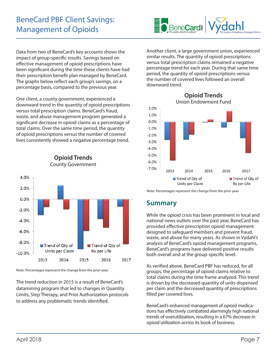Data from two of BeneCard's key accounts shows the impact of group-specific results. Savings based on effective management of opioid prescriptions have been significant during the time these clients have had their prescription benefit plan managed by BeneCard. The graphs below reflect each group's savings, on a percentage basis, compared to the previous year.

One client, a county government, experienced a downward trend in the quantity of opioid prescriptions versus total prescription claims. BeneCard's fraud, waste, and abuse management program generated a significant decrease in opioid claims as a percentage of total claims. Over the same time period, the quantity of opioid prescriptions versus the number of covered lives consistently showed a negative percentage trend.



**Opioid Trends** County Government

Note: Percentages represent the change from the prior year.

The trend reduction in 2015 is a result of BeneCard's datamining program that led to changes in Quantity Limits, Step Therapy, and Prior Authorization protocols to address any problematic trends identified.



Another client, a large government union, experienced similar results. The quantity of opioid prescriptions versus total prescription claims remained a negative percentage trend for each year. During that same time period, the quantity of opioid prescriptions versus the number of covered lives followed an overall downward trend.



Note: Percentages represent the change from the prior year.

## **Summary**

While the opioid crisis has been prominent in local and national news outlets over the past year, BeneCard has provided effective prescription opioid management designed to safeguard members and prevent fraud, waste, and abuse for many years. As shown in Vydahl's analysis of BeneCard's opioid management programs, BeneCard's programs have delivered positive results both overall and at the group-specific level.

As verified above, BeneCard PBF has reduced, for all groups, the percentage of opioid claims relative to total claims during the time frame analyzed. This trend is driven by the decreased quantity of units dispensed per claim and the decreased quantity of prescriptions filled per covered lives.

BeneCard's enhanced management of opioid medications has effectively combatted alarmingly high national trends of overutilization, resulting in a 67% decrease in opioid utilization across its book of business.